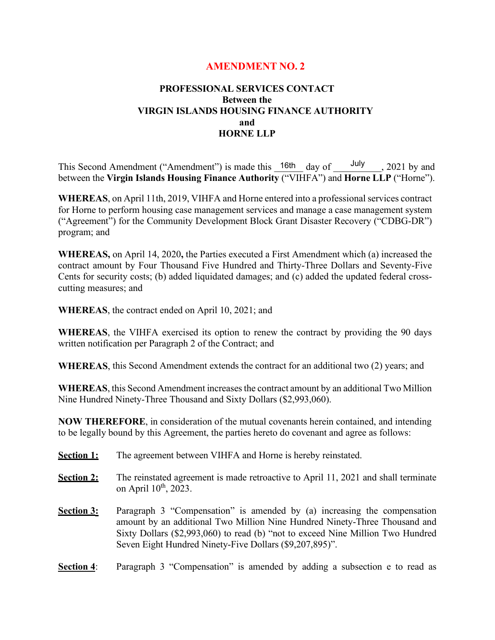# **AMENDMENT NO. 2**

# **PROFESSIONAL SERVICES CONTACT Between the VIRGIN ISLANDS HOUSING FINANCE AUTHORITY and HORNE LLP**

This Second Amendment ("Amendment") is made this  $\frac{16th}{\text{day of}}$  day of  $\frac{\text{July}}{\text{day}}$ , 2021 by and between the **Virgin Islands Housing Finance Authority** ("VIHFA") and **Horne LLP** ("Horne").

**WHEREAS**, on April 11th, 2019, VIHFA and Horne entered into a professional services contract for Horne to perform housing case management services and manage a case management system ("Agreement") for the Community Development Block Grant Disaster Recovery ("CDBG-DR") program; and

**WHEREAS,** on April 14, 2020**,** the Parties executed a First Amendment which (a) increased the contract amount by Four Thousand Five Hundred and Thirty-Three Dollars and Seventy-Five Cents for security costs; (b) added liquidated damages; and (c) added the updated federal crosscutting measures; and

**WHEREAS**, the contract ended on April 10, 2021; and

**WHEREAS**, the VIHFA exercised its option to renew the contract by providing the 90 days written notification per Paragraph 2 of the Contract; and

**WHEREAS**, this Second Amendment extends the contract for an additional two (2) years; and

**WHEREAS**, this Second Amendment increases the contract amount by an additional Two Million Nine Hundred Ninety-Three Thousand and Sixty Dollars (\$2,993,060).

**NOW THEREFORE**, in consideration of the mutual covenants herein contained, and intending to be legally bound by this Agreement, the parties hereto do covenant and agree as follows:

- **Section 1:** The agreement between VIHFA and Horne is hereby reinstated.
- **Section 2:** The reinstated agreement is made retroactive to April 11, 2021 and shall terminate on April  $10^{th}$ , 2023.
- **Section 3:** Paragraph 3 "Compensation" is amended by (a) increasing the compensation amount by an additional Two Million Nine Hundred Ninety-Three Thousand and Sixty Dollars (\$2,993,060) to read (b) "not to exceed Nine Million Two Hundred Seven Eight Hundred Ninety-Five Dollars (\$9,207,895)".
- **Section 4:** Paragraph 3 "Compensation" is amended by adding a subsection e to read as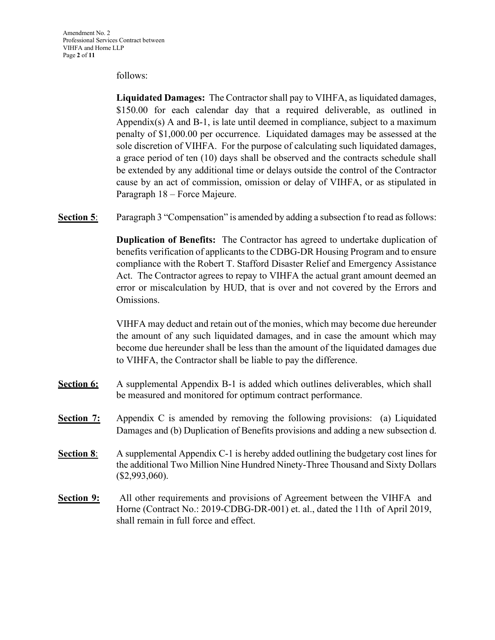#### follows:

**Liquidated Damages:** The Contractor shall pay to VIHFA, as liquidated damages, \$150.00 for each calendar day that a required deliverable, as outlined in Appendix(s) A and B-1, is late until deemed in compliance, subject to a maximum penalty of \$1,000.00 per occurrence. Liquidated damages may be assessed at the sole discretion of VIHFA. For the purpose of calculating such liquidated damages, a grace period of ten (10) days shall be observed and the contracts schedule shall be extended by any additional time or delays outside the control of the Contractor cause by an act of commission, omission or delay of VIHFA, or as stipulated in Paragraph 18 – Force Majeure.

**Section 5:** Paragraph 3 "Compensation" is amended by adding a subsection f to read as follows:

**Duplication of Benefits:** The Contractor has agreed to undertake duplication of benefits verification of applicants to the CDBG-DR Housing Program and to ensure compliance with the Robert T. Stafford Disaster Relief and Emergency Assistance Act. The Contractor agrees to repay to VIHFA the actual grant amount deemed an error or miscalculation by HUD, that is over and not covered by the Errors and Omissions.

VIHFA may deduct and retain out of the monies, which may become due hereunder the amount of any such liquidated damages, and in case the amount which may become due hereunder shall be less than the amount of the liquidated damages due to VIHFA, the Contractor shall be liable to pay the difference.

- **Section 6:** A supplemental Appendix B-1 is added which outlines deliverables, which shall be measured and monitored for optimum contract performance.
- **Section 7:** Appendix C is amended by removing the following provisions: (a) Liquidated Damages and (b) Duplication of Benefits provisions and adding a new subsection d.
- **Section 8**: A supplemental Appendix C-1 is hereby added outlining the budgetary cost lines for the additional Two Million Nine Hundred Ninety-Three Thousand and Sixty Dollars (\$2,993,060).
- **Section 9:** All other requirements and provisions of Agreement between the VIHFA and Horne (Contract No.: 2019-CDBG-DR-001) et. al., dated the 11th of April 2019, shall remain in full force and effect.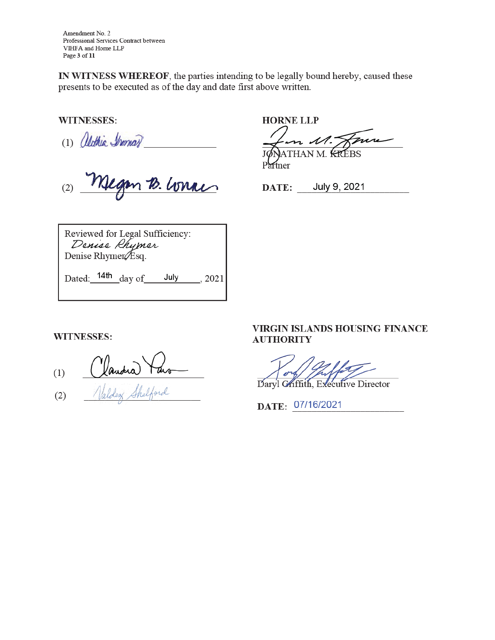Amendment No. 2 Professional Services Contract between VIHFA and Home LLP Page 3 of 11

IN WITNESS WHEREOF, the parties intending to be legally bound hereby, caused these presents to be executed as of the day and date first above written.

**WITNESSES:** 

(1) Oldhia Iromar 10. Lonac

**HORNE LLP**  $\mathcal{M}.$ THAN M. KREBS

Partner

DATE: July 9, 2021

Reviewed for Legal Sufficiency: Denise Rhymer Denise Rhymer Esq.

Dated:  $14th$  day of July 2021

**WITNESSES:** 

Vandra Taro  $(1)$ 

 $(2)$ 

# VIRGIN ISLANDS HOUSING FINANCE **AUTHORITY**

Daryl Chiffith, Executive Director

DATE: 07/16/2021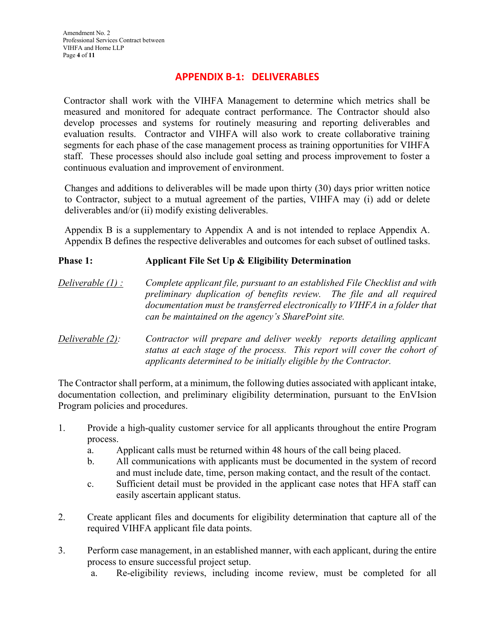# **APPENDIX B-1: DELIVERABLES**

Contractor shall work with the VIHFA Management to determine which metrics shall be measured and monitored for adequate contract performance. The Contractor should also develop processes and systems for routinely measuring and reporting deliverables and evaluation results. Contractor and VIHFA will also work to create collaborative training segments for each phase of the case management process as training opportunities for VIHFA staff. These processes should also include goal setting and process improvement to foster a continuous evaluation and improvement of environment.

Changes and additions to deliverables will be made upon thirty (30) days prior written notice to Contractor, subject to a mutual agreement of the parties, VIHFA may (i) add or delete deliverables and/or (ii) modify existing deliverables.

Appendix B is a supplementary to Appendix A and is not intended to replace Appendix A. Appendix B defines the respective deliverables and outcomes for each subset of outlined tasks.

# **Phase 1: Applicant File Set Up & Eligibility Determination**

*Deliverable (1) : Complete applicant file, pursuant to an established File Checklist and with preliminary duplication of benefits review. The file and all required documentation must be transferred electronically to VIHFA in a folder that can be maintained on the agency's SharePoint site.* 

*Deliverable (2): Contractor will prepare and deliver weekly reports detailing applicant status at each stage of the process. This report will cover the cohort of applicants determined to be initially eligible by the Contractor.* 

The Contractor shall perform, at a minimum, the following duties associated with applicant intake, documentation collection, and preliminary eligibility determination, pursuant to the EnVIsion Program policies and procedures.

- 1. Provide a high-quality customer service for all applicants throughout the entire Program process.
	- a. Applicant calls must be returned within 48 hours of the call being placed.
	- b. All communications with applicants must be documented in the system of record and must include date, time, person making contact, and the result of the contact.
	- c. Sufficient detail must be provided in the applicant case notes that HFA staff can easily ascertain applicant status.
- 2. Create applicant files and documents for eligibility determination that capture all of the required VIHFA applicant file data points.
- 3. Perform case management, in an established manner, with each applicant, during the entire process to ensure successful project setup.
	- a. Re-eligibility reviews, including income review, must be completed for all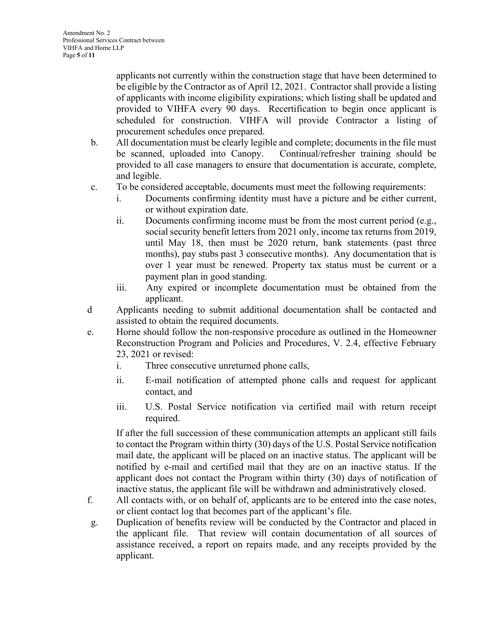applicants not currently within the construction stage that have been determined to be eligible by the Contractor as of April 12, 2021. Contractor shall provide a listing of applicants with income eligibility expirations; which listing shall be updated and provided to VIHFA every 90 days. Recertification to begin once applicant is scheduled for construction. VIHFA will provide Contractor a listing of procurement schedules once prepared.

- b. All documentation must be clearly legible and complete; documents in the file must be scanned, uploaded into Canopy. Continual/refresher training should be provided to all case managers to ensure that documentation is accurate, complete, and legible.
- c. To be considered acceptable, documents must meet the following requirements:
	- i. Documents confirming identity must have a picture and be either current, or without expiration date.
	- ii. Documents confirming income must be from the most current period (e.g., social security benefit letters from 2021 only, income tax returns from 2019, until May 18, then must be 2020 return, bank statements (past three months), pay stubs past 3 consecutive months). Any documentation that is over 1 year must be renewed. Property tax status must be current or a payment plan in good standing.
	- iii. Any expired or incomplete documentation must be obtained from the applicant.
- d Applicants needing to submit additional documentation shall be contacted and assisted to obtain the required documents.
- e. Horne should follow the non-responsive procedure as outlined in the Homeowner Reconstruction Program and Policies and Procedures, V. 2.4, effective February 23, 2021 or revised:
	- i. Three consecutive unreturned phone calls,
	- ii. E-mail notification of attempted phone calls and request for applicant contact, and
	- iii. U.S. Postal Service notification via certified mail with return receipt required.

If after the full succession of these communication attempts an applicant still fails to contact the Program within thirty (30) days of the U.S. Postal Service notification mail date, the applicant will be placed on an inactive status. The applicant will be notified by e-mail and certified mail that they are on an inactive status. If the applicant does not contact the Program within thirty (30) days of notification of inactive status, the applicant file will be withdrawn and administratively closed.

- f. All contacts with, or on behalf of, applicants are to be entered into the case notes, or client contact log that becomes part of the applicant's file.
- g. Duplication of benefits review will be conducted by the Contractor and placed in the applicant file. That review will contain documentation of all sources of assistance received, a report on repairs made, and any receipts provided by the applicant.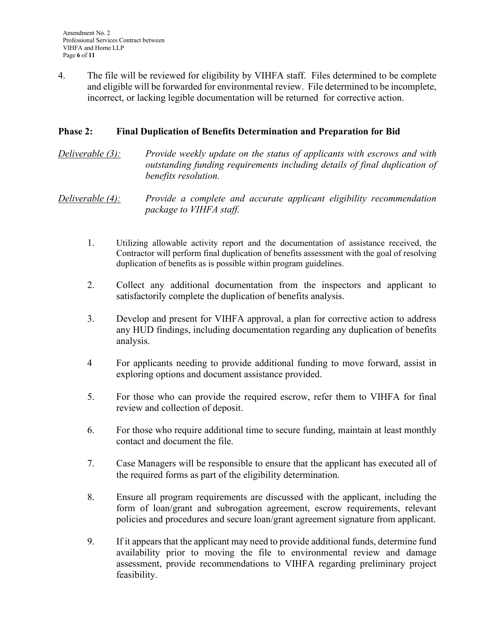4. The file will be reviewed for eligibility by VIHFA staff. Files determined to be complete and eligible will be forwarded for environmental review. File determined to be incomplete, incorrect, or lacking legible documentation will be returned for corrective action.

## **Phase 2: Final Duplication of Benefits Determination and Preparation for Bid**

### *Deliverable (3): Provide weekly update on the status of applicants with escrows and with outstanding funding requirements including details of final duplication of benefits resolution.*

*Deliverable (4): Provide a complete and accurate applicant eligibility recommendation package to VIHFA staff.* 

- 1. Utilizing allowable activity report and the documentation of assistance received, the Contractor will perform final duplication of benefits assessment with the goal of resolving duplication of benefits as is possible within program guidelines.
- 2. Collect any additional documentation from the inspectors and applicant to satisfactorily complete the duplication of benefits analysis.
- 3. Develop and present for VIHFA approval, a plan for corrective action to address any HUD findings, including documentation regarding any duplication of benefits analysis.
- 4 For applicants needing to provide additional funding to move forward, assist in exploring options and document assistance provided.
- 5. For those who can provide the required escrow, refer them to VIHFA for final review and collection of deposit.
- 6. For those who require additional time to secure funding, maintain at least monthly contact and document the file.
- 7. Case Managers will be responsible to ensure that the applicant has executed all of the required forms as part of the eligibility determination.
- 8. Ensure all program requirements are discussed with the applicant, including the form of loan/grant and subrogation agreement, escrow requirements, relevant policies and procedures and secure loan/grant agreement signature from applicant.
- 9. If it appears that the applicant may need to provide additional funds, determine fund availability prior to moving the file to environmental review and damage assessment, provide recommendations to VIHFA regarding preliminary project feasibility.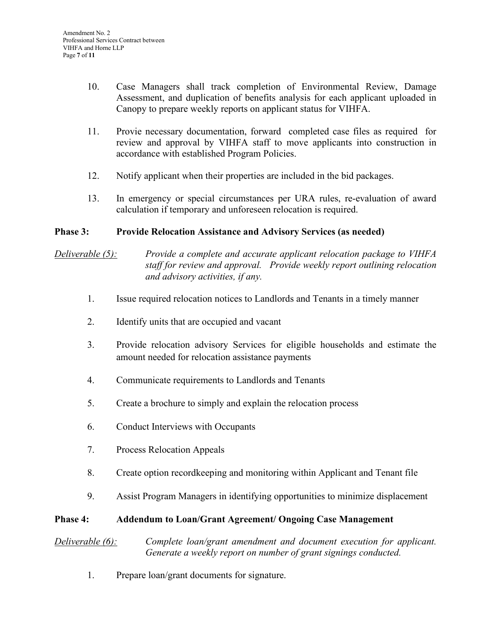- 10. Case Managers shall track completion of Environmental Review, Damage Assessment, and duplication of benefits analysis for each applicant uploaded in Canopy to prepare weekly reports on applicant status for VIHFA.
- 11. Provie necessary documentation, forward completed case files as required for review and approval by VIHFA staff to move applicants into construction in accordance with established Program Policies.
- 12. Notify applicant when their properties are included in the bid packages.
- 13. In emergency or special circumstances per URA rules, re-evaluation of award calculation if temporary and unforeseen relocation is required.

#### **Phase 3: Provide Relocation Assistance and Advisory Services (as needed)**

# *Deliverable (5): Provide a complete and accurate applicant relocation package to VIHFA staff for review and approval. Provide weekly report outlining relocation and advisory activities, if any.*

- 1. Issue required relocation notices to Landlords and Tenants in a timely manner
- 2. Identify units that are occupied and vacant
- 3. Provide relocation advisory Services for eligible households and estimate the amount needed for relocation assistance payments
- 4. Communicate requirements to Landlords and Tenants
- 5. Create a brochure to simply and explain the relocation process
- 6. Conduct Interviews with Occupants
- 7. Process Relocation Appeals
- 8. Create option recordkeeping and monitoring within Applicant and Tenant file
- 9. Assist Program Managers in identifying opportunities to minimize displacement

#### **Phase 4: Addendum to Loan/Grant Agreement/ Ongoing Case Management**

*Deliverable (6): Complete loan/grant amendment and document execution for applicant. Generate a weekly report on number of grant signings conducted.* 

1. Prepare loan/grant documents for signature.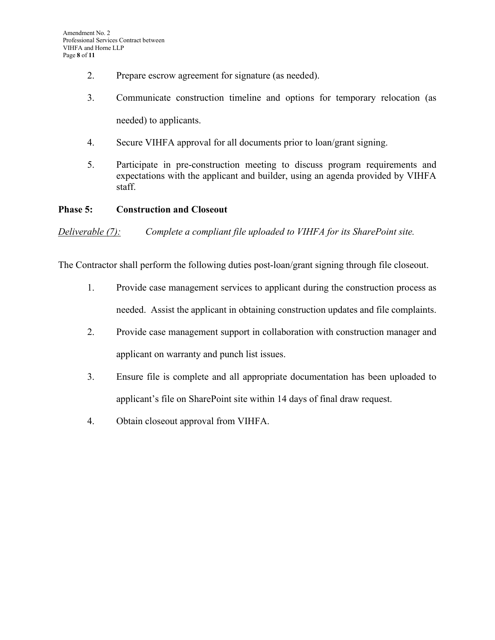- 2. Prepare escrow agreement for signature (as needed).
- 3. Communicate construction timeline and options for temporary relocation (as needed) to applicants.
- 4. Secure VIHFA approval for all documents prior to loan/grant signing.
- 5. Participate in pre-construction meeting to discuss program requirements and expectations with the applicant and builder, using an agenda provided by VIHFA staff.

#### **Phase 5: Construction and Closeout**

*Deliverable (7): Complete a compliant file uploaded to VIHFA for its SharePoint site.* 

The Contractor shall perform the following duties post-loan/grant signing through file closeout.

- 1. Provide case management services to applicant during the construction process as needed. Assist the applicant in obtaining construction updates and file complaints.
- 2. Provide case management support in collaboration with construction manager and applicant on warranty and punch list issues.
- 3. Ensure file is complete and all appropriate documentation has been uploaded to applicant's file on SharePoint site within 14 days of final draw request.
- 4. Obtain closeout approval from VIHFA.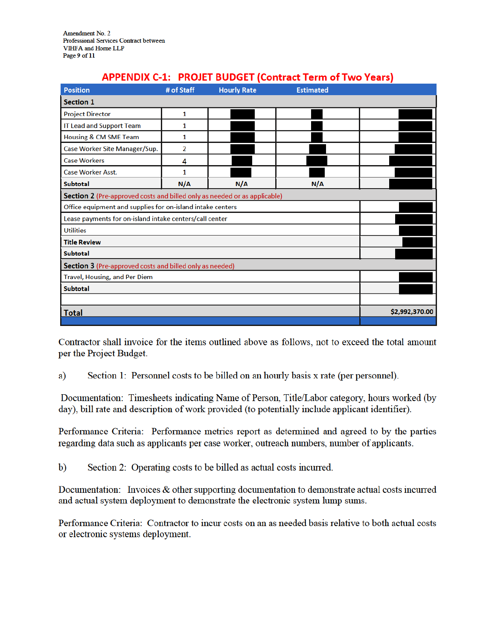Amendment No. 2 Professional Services Contract between VIHFA and Home LLP Page 9 of 11

| APPENDIA C-1: PROJET BODGET (CONTACT TEMI OF TWO TEATS)                   |                |                    |                  |                |
|---------------------------------------------------------------------------|----------------|--------------------|------------------|----------------|
| <b>Position</b>                                                           | # of Staff     | <b>Hourly Rate</b> | <b>Estimated</b> |                |
| <b>Section 1</b>                                                          |                |                    |                  |                |
| <b>Project Director</b>                                                   | 1              |                    |                  |                |
| IT Lead and Support Team                                                  | 1              |                    |                  |                |
| <b>Housing &amp; CM SME Team</b>                                          | 1              |                    |                  |                |
| Case Worker Site Manager/Sup.                                             | $\overline{2}$ |                    |                  |                |
| <b>Case Workers</b>                                                       | 4              |                    |                  |                |
| <b>Case Worker Asst.</b>                                                  | 1              |                    |                  |                |
| <b>Subtotal</b>                                                           | N/A            | N/A                | N/A              |                |
| Section 2 (Pre-approved costs and billed only as needed or as applicable) |                |                    |                  |                |
| Office equipment and supplies for on-island intake centers                |                |                    |                  |                |
| Lease payments for on-island intake centers/call center                   |                |                    |                  |                |
| <b>Utilities</b>                                                          |                |                    |                  |                |
| <b>Title Review</b>                                                       |                |                    |                  |                |
| <b>Subtotal</b>                                                           |                |                    |                  |                |
| <b>Section 3</b> (Pre-approved costs and billed only as needed)           |                |                    |                  |                |
| Travel, Housing, and Per Diem                                             |                |                    |                  |                |
| <b>Subtotal</b>                                                           |                |                    |                  |                |
|                                                                           |                |                    |                  |                |
| <b>Total</b>                                                              |                |                    |                  | \$2,992,370.00 |
|                                                                           |                |                    |                  |                |

#### ADDENINIV C 1. DDOIET BLIDGET (Control Af Turn Vanual

Contractor shall invoice for the items outlined above as follows, not to exceed the total amount per the Project Budget.

Section 1: Personnel costs to be billed on an hourly basis x rate (per personnel). a)

Documentation: Timesheets indicating Name of Person, Title/Labor category, hours worked (by day), bill rate and description of work provided (to potentially include applicant identifier).

Performance Criteria: Performance metrics report as determined and agreed to by the parties regarding data such as applicants per case worker, outreach numbers, number of applicants.

 $\mathbf{b}$ Section 2: Operating costs to be billed as actual costs incurred.

Documentation: Invoices & other supporting documentation to demonstrate actual costs incurred and actual system deployment to demonstrate the electronic system lump sums.

Performance Criteria: Contractor to incur costs on an as needed basis relative to both actual costs or electronic systems deployment.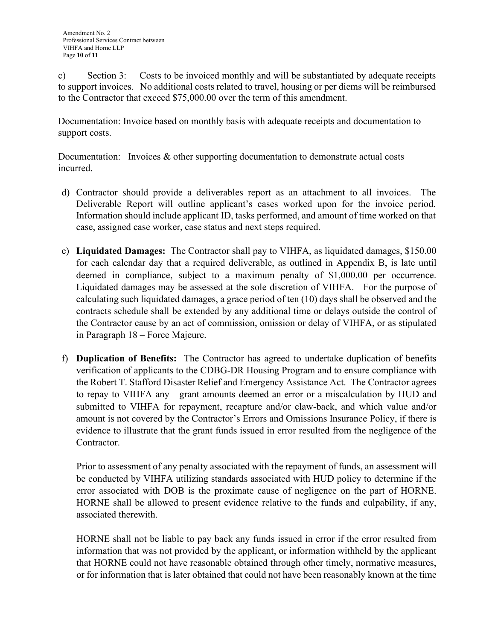c) Section 3: Costs to be invoiced monthly and will be substantiated by adequate receipts to support invoices. No additional costs related to travel, housing or per diems will be reimbursed to the Contractor that exceed \$75,000.00 over the term of this amendment.

Documentation: Invoice based on monthly basis with adequate receipts and documentation to support costs.

Documentation: Invoices & other supporting documentation to demonstrate actual costs incurred.

- d) Contractor should provide a deliverables report as an attachment to all invoices. The Deliverable Report will outline applicant's cases worked upon for the invoice period. Information should include applicant ID, tasks performed, and amount of time worked on that case, assigned case worker, case status and next steps required.
- e) **Liquidated Damages:** The Contractor shall pay to VIHFA, as liquidated damages, \$150.00 for each calendar day that a required deliverable, as outlined in Appendix B, is late until deemed in compliance, subject to a maximum penalty of \$1,000.00 per occurrence. Liquidated damages may be assessed at the sole discretion of VIHFA. For the purpose of calculating such liquidated damages, a grace period of ten (10) days shall be observed and the contracts schedule shall be extended by any additional time or delays outside the control of the Contractor cause by an act of commission, omission or delay of VIHFA, or as stipulated in Paragraph 18 – Force Majeure.
- f) **Duplication of Benefits:** The Contractor has agreed to undertake duplication of benefits verification of applicants to the CDBG-DR Housing Program and to ensure compliance with the Robert T. Stafford Disaster Relief and Emergency Assistance Act. The Contractor agrees to repay to VIHFA any grant amounts deemed an error or a miscalculation by HUD and submitted to VIHFA for repayment, recapture and/or claw-back, and which value and/or amount is not covered by the Contractor's Errors and Omissions Insurance Policy, if there is evidence to illustrate that the grant funds issued in error resulted from the negligence of the Contractor.

Prior to assessment of any penalty associated with the repayment of funds, an assessment will be conducted by VIHFA utilizing standards associated with HUD policy to determine if the error associated with DOB is the proximate cause of negligence on the part of HORNE. HORNE shall be allowed to present evidence relative to the funds and culpability, if any, associated therewith.

HORNE shall not be liable to pay back any funds issued in error if the error resulted from information that was not provided by the applicant, or information withheld by the applicant that HORNE could not have reasonable obtained through other timely, normative measures, or for information that is later obtained that could not have been reasonably known at the time